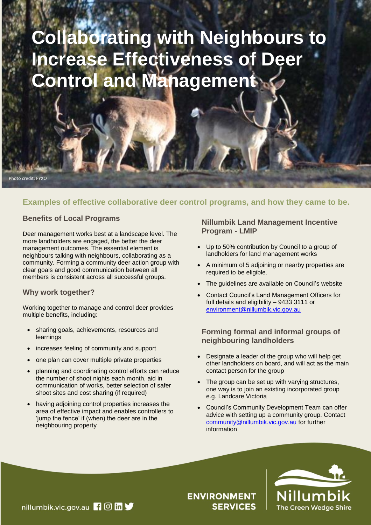# **Collaborating with Neighbours to Increase Effectiveness of Deer Control and Management**

#### Photo credit: FYXO

# **Examples of effective collaborative deer control programs, and how they came to be.**

## **Benefits of Local Programs**

Deer management works best at a landscape level. The more landholders are engaged, the better the deer management outcomes. The essential element is neighbours talking with neighbours, collaborating as a community. Forming a community deer action group with clear goals and good communication between all members is consistent across all successful groups.

## **Why work together?**

Working together to manage and control deer provides multiple benefits, including:

- sharing goals, achievements, resources and learnings
- increases feeling of community and support
- one plan can cover multiple private properties
- planning and coordinating control efforts can reduce the number of shoot nights each month, aid in communication of works, better selection of safer shoot sites and cost sharing (if required)
- having adjoining control properties increases the area of effective impact and enables controllers to 'jump the fence' if (when) the deer are in the neighbouring property

## **Nillumbik Land Management Incentive Program - LMIP**

- Up to 50% contribution by Council to a group of landholders for land management works
- A minimum of 5 adjoining or nearby properties are required to be eligible.
- The guidelines are available on Council's website
- Contact Council's Land Management Officers for full details and eligibility – 9433 3111 or [environment@nillumbik.vic.gov.au](mailto:environment@nillumbik.vic.gov.au)

## **Forming formal and informal groups of neighbouring landholders**

- Designate a leader of the group who will help get other landholders on board, and will act as the main contact person for the group
- The group can be set up with varying structures, one way is to join an existing incorporated group e.g. Landcare Victoria
- Council's Community Development Team can offer advice with setting up a community group. Contact [community@nillumbik.vic.gov.au](mailto:community@nillumbik.vic.gov.au) for further information



**ENVIRONMENT SERVICES**